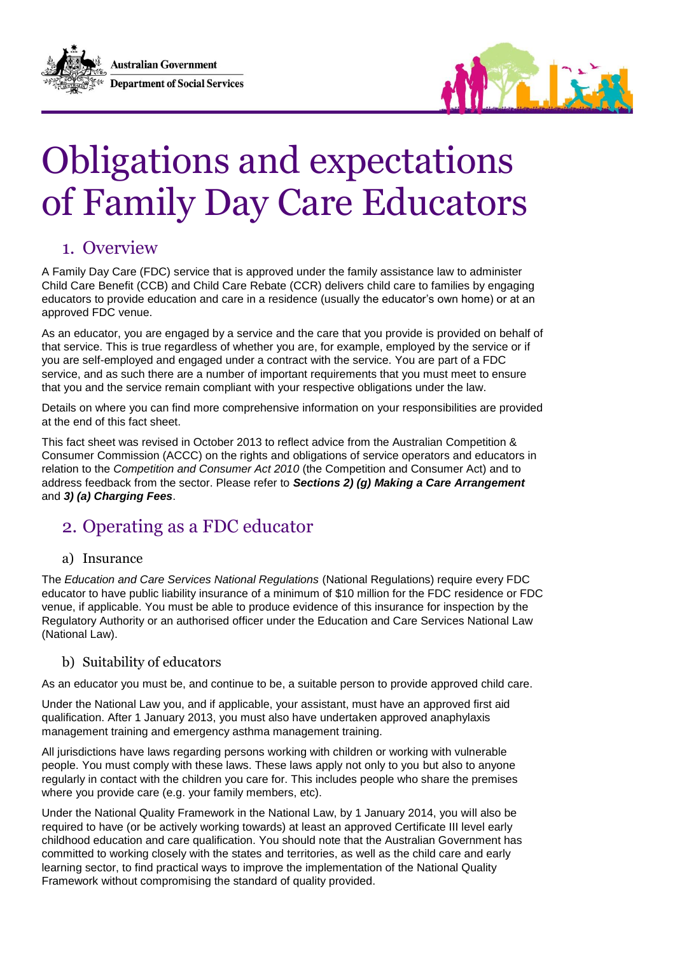**Australian Government Department of Social Services** 



# Obligations and expectations of Family Day Care Educators

## 1. Overview

A Family Day Care (FDC) service that is approved under the family assistance law to administer Child Care Benefit (CCB) and Child Care Rebate (CCR) delivers child care to families by engaging educators to provide education and care in a residence (usually the educator's own home) or at an approved FDC venue.

As an educator, you are engaged by a service and the care that you provide is provided on behalf of that service. This is true regardless of whether you are, for example, employed by the service or if you are self-employed and engaged under a contract with the service. You are part of a FDC service, and as such there are a number of important requirements that you must meet to ensure that you and the service remain compliant with your respective obligations under the law.

Details on where you can find more comprehensive information on your responsibilities are provided at the end of this fact sheet.

This fact sheet was revised in October 2013 to reflect advice from the Australian Competition & Consumer Commission (ACCC) on the rights and obligations of service operators and educators in relation to the *Competition and Consumer Act 2010* (the Competition and Consumer Act) and to address feedback from the sector. Please refer to *Sections 2) (g) Making a Care Arrangement* and *3) (a) Charging Fees*.

# 2. Operating as a FDC educator

## a) Insurance

The *Education and Care Services National Regulations* (National Regulations) require every FDC educator to have public liability insurance of a minimum of \$10 million for the FDC residence or FDC venue, if applicable. You must be able to produce evidence of this insurance for inspection by the Regulatory Authority or an authorised officer under the Education and Care Services National Law (National Law).

## b) Suitability of educators

As an educator you must be, and continue to be, a suitable person to provide approved child care.

Under the National Law you, and if applicable, your assistant, must have an approved first aid qualification. After 1 January 2013, you must also have undertaken approved anaphylaxis management training and emergency asthma management training.

All jurisdictions have laws regarding persons working with children or working with vulnerable people. You must comply with these laws. These laws apply not only to you but also to anyone regularly in contact with the children you care for. This includes people who share the premises where you provide care (e.g. your family members, etc).

Under the National Quality Framework in the National Law, by 1 January 2014, you will also be required to have (or be actively working towards) at least an approved Certificate III level early childhood education and care qualification. You should note that the Australian Government has committed to working closely with the states and territories, as well as the child care and early learning sector, to find practical ways to improve the implementation of the National Quality Framework without compromising the standard of quality provided.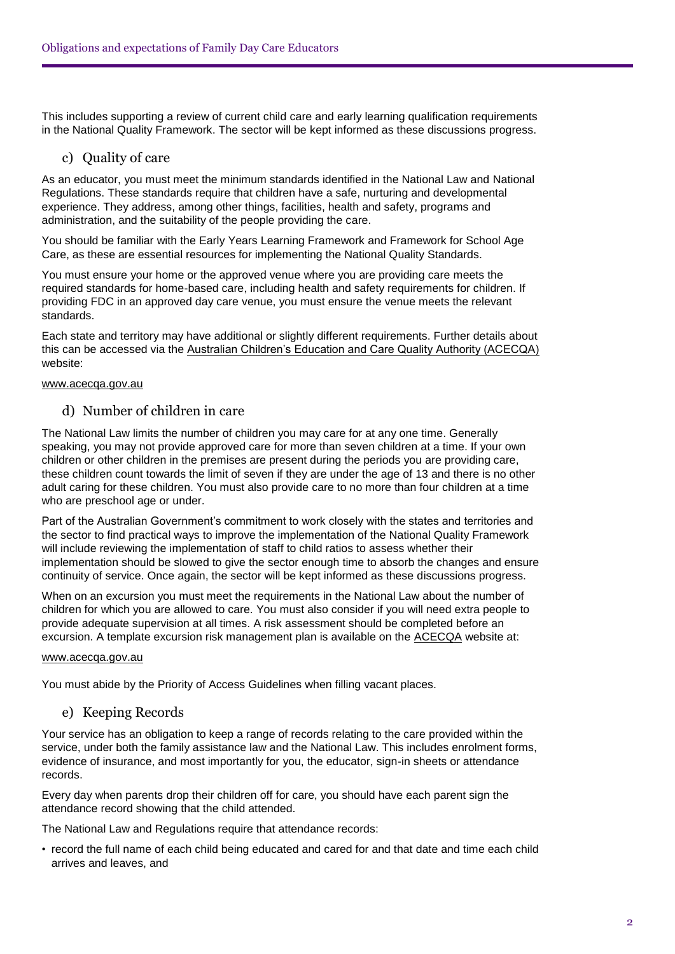This includes supporting a review of current child care and early learning qualification requirements in the National Quality Framework. The sector will be kept informed as these discussions progress.

#### c) Quality of care

As an educator, you must meet the minimum standards identified in the National Law and National Regulations. These standards require that children have a safe, nurturing and developmental experience. They address, among other things, facilities, health and safety, programs and administration, and the suitability of the people providing the care.

You should be familiar with the Early Years Learning Framework and Framework for School Age Care, as these are essential resources for implementing the National Quality Standards.

You must ensure your home or the approved venue where you are providing care meets the required standards for home-based care, including health and safety requirements for children. If providing FDC in an approved day care venue, you must ensure the venue meets the relevant standards.

Each state and territory may have additional or slightly different requirements. Further details about this can be accessed via the [Australian Children's Education and Care Quality Authority \(ACECQA\)](http://www.acecqa.gov.au/) website:

#### [www.acecqa.gov.au](http://www.acecqa.gov.au/)

#### d) Number of children in care

The National Law limits the number of children you may care for at any one time. Generally speaking, you may not provide approved care for more than seven children at a time. If your own children or other children in the premises are present during the periods you are providing care, these children count towards the limit of seven if they are under the age of 13 and there is no other adult caring for these children. You must also provide care to no more than four children at a time who are preschool age or under.

Part of the Australian Government's commitment to work closely with the states and territories and the sector to find practical ways to improve the implementation of the National Quality Framework will include reviewing the implementation of staff to child ratios to assess whether their implementation should be slowed to give the sector enough time to absorb the changes and ensure continuity of service. Once again, the sector will be kept informed as these discussions progress.

When on an excursion you must meet the requirements in the National Law about the number of children for which you are allowed to care. You must also consider if you will need extra people to provide adequate supervision at all times. A risk assessment should be completed before an excursion. A template excursion risk management plan is available on the [ACECQA](http://www.acecqa.gov.au/) website at:

#### [www.acecqa.gov.au](http://www.acecqa.gov.au/)

You must abide by the Priority of Access Guidelines when filling vacant places.

#### e) Keeping Records

Your service has an obligation to keep a range of records relating to the care provided within the service, under both the family assistance law and the National Law. This includes enrolment forms, evidence of insurance, and most importantly for you, the educator, sign-in sheets or attendance records.

Every day when parents drop their children off for care, you should have each parent sign the attendance record showing that the child attended.

The National Law and Regulations require that attendance records:

• record the full name of each child being educated and cared for and that date and time each child arrives and leaves, and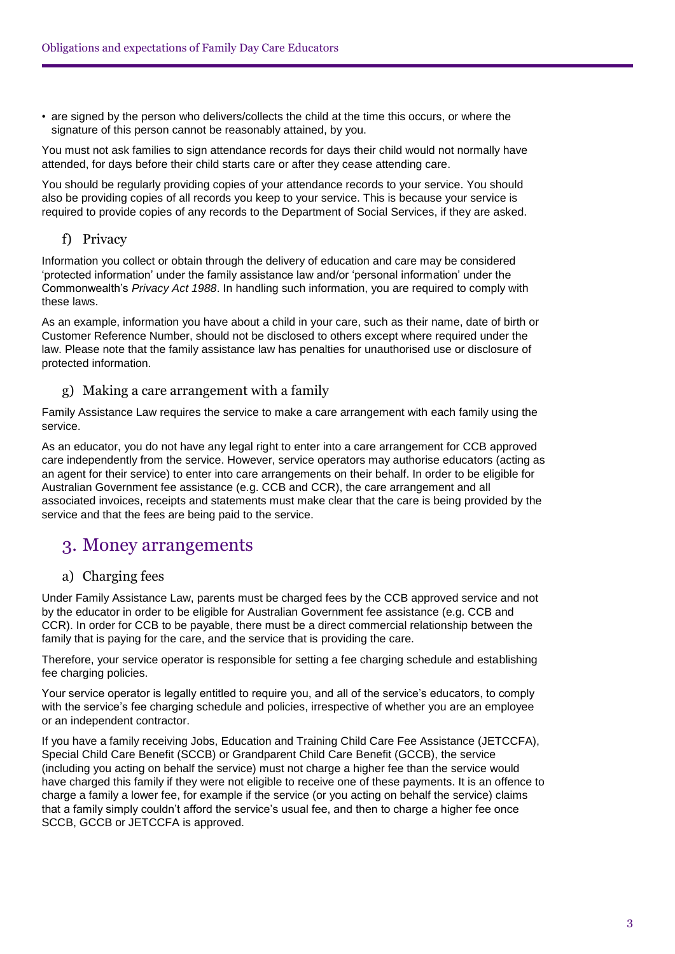• are signed by the person who delivers/collects the child at the time this occurs, or where the signature of this person cannot be reasonably attained, by you.

You must not ask families to sign attendance records for days their child would not normally have attended, for days before their child starts care or after they cease attending care.

You should be regularly providing copies of your attendance records to your service. You should also be providing copies of all records you keep to your service. This is because your service is required to provide copies of any records to the Department of Social Services, if they are asked.

#### f) Privacy

Information you collect or obtain through the delivery of education and care may be considered 'protected information' under the family assistance law and/or 'personal information' under the Commonwealth's *Privacy Act 1988*. In handling such information, you are required to comply with these laws.

As an example, information you have about a child in your care, such as their name, date of birth or Customer Reference Number, should not be disclosed to others except where required under the law. Please note that the family assistance law has penalties for unauthorised use or disclosure of protected information.

### g) Making a care arrangement with a family

Family Assistance Law requires the service to make a care arrangement with each family using the service.

As an educator, you do not have any legal right to enter into a care arrangement for CCB approved care independently from the service. However, service operators may authorise educators (acting as an agent for their service) to enter into care arrangements on their behalf. In order to be eligible for Australian Government fee assistance (e.g. CCB and CCR), the care arrangement and all associated invoices, receipts and statements must make clear that the care is being provided by the service and that the fees are being paid to the service.

## 3. Money arrangements

#### a) Charging fees

Under Family Assistance Law, parents must be charged fees by the CCB approved service and not by the educator in order to be eligible for Australian Government fee assistance (e.g. CCB and CCR). In order for CCB to be payable, there must be a direct commercial relationship between the family that is paying for the care, and the service that is providing the care.

Therefore, your service operator is responsible for setting a fee charging schedule and establishing fee charging policies.

Your service operator is legally entitled to require you, and all of the service's educators, to comply with the service's fee charging schedule and policies, irrespective of whether you are an employee or an independent contractor.

If you have a family receiving Jobs, Education and Training Child Care Fee Assistance (JETCCFA), Special Child Care Benefit (SCCB) or Grandparent Child Care Benefit (GCCB), the service (including you acting on behalf the service) must not charge a higher fee than the service would have charged this family if they were not eligible to receive one of these payments. It is an offence to charge a family a lower fee, for example if the service (or you acting on behalf the service) claims that a family simply couldn't afford the service's usual fee, and then to charge a higher fee once SCCB, GCCB or JETCCFA is approved.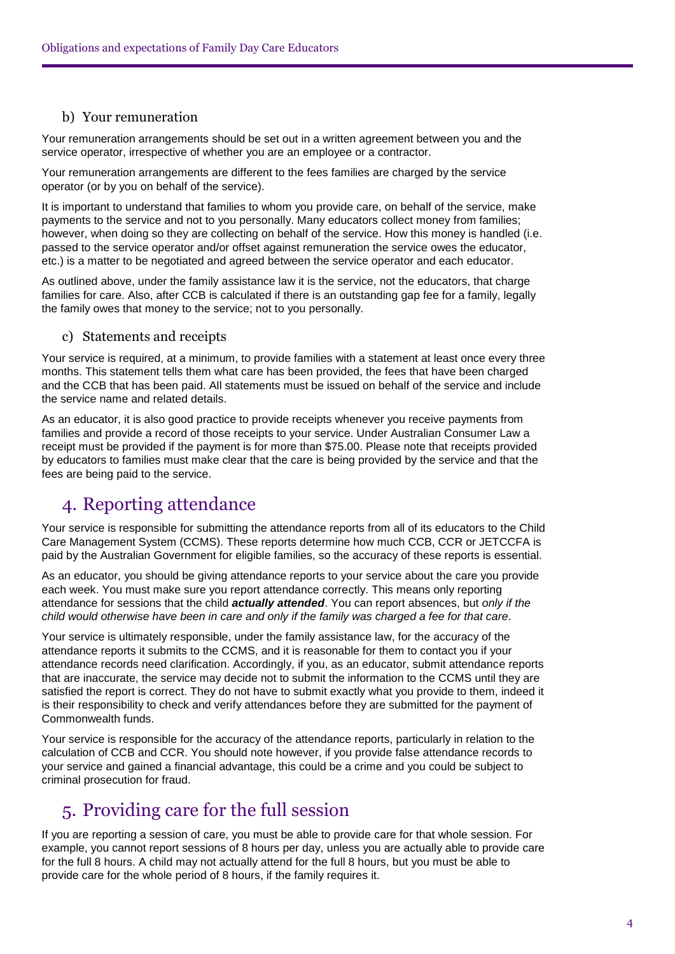## b) Your remuneration

Your remuneration arrangements should be set out in a written agreement between you and the service operator, irrespective of whether you are an employee or a contractor.

Your remuneration arrangements are different to the fees families are charged by the service operator (or by you on behalf of the service).

It is important to understand that families to whom you provide care, on behalf of the service, make payments to the service and not to you personally. Many educators collect money from families; however, when doing so they are collecting on behalf of the service. How this money is handled (i.e. passed to the service operator and/or offset against remuneration the service owes the educator, etc.) is a matter to be negotiated and agreed between the service operator and each educator.

As outlined above, under the family assistance law it is the service, not the educators, that charge families for care. Also, after CCB is calculated if there is an outstanding gap fee for a family, legally the family owes that money to the service; not to you personally.

#### c) Statements and receipts

Your service is required, at a minimum, to provide families with a statement at least once every three months. This statement tells them what care has been provided, the fees that have been charged and the CCB that has been paid. All statements must be issued on behalf of the service and include the service name and related details.

As an educator, it is also good practice to provide receipts whenever you receive payments from families and provide a record of those receipts to your service. Under Australian Consumer Law a receipt must be provided if the payment is for more than \$75.00. Please note that receipts provided by educators to families must make clear that the care is being provided by the service and that the fees are being paid to the service.

## 4. Reporting attendance

Your service is responsible for submitting the attendance reports from all of its educators to the Child Care Management System (CCMS). These reports determine how much CCB, CCR or JETCCFA is paid by the Australian Government for eligible families, so the accuracy of these reports is essential.

As an educator, you should be giving attendance reports to your service about the care you provide each week. You must make sure you report attendance correctly. This means only reporting attendance for sessions that the child *actually attended*. You can report absences, but *only if the child would otherwise have been in care and only if the family was charged a fee for that care.*

Your service is ultimately responsible, under the family assistance law, for the accuracy of the attendance reports it submits to the CCMS, and it is reasonable for them to contact you if your attendance records need clarification. Accordingly, if you, as an educator, submit attendance reports that are inaccurate, the service may decide not to submit the information to the CCMS until they are satisfied the report is correct. They do not have to submit exactly what you provide to them, indeed it is their responsibility to check and verify attendances before they are submitted for the payment of Commonwealth funds.

Your service is responsible for the accuracy of the attendance reports, particularly in relation to the calculation of CCB and CCR. You should note however, if you provide false attendance records to your service and gained a financial advantage, this could be a crime and you could be subject to criminal prosecution for fraud.

## 5. Providing care for the full session

If you are reporting a session of care, you must be able to provide care for that whole session. For example, you cannot report sessions of 8 hours per day, unless you are actually able to provide care for the full 8 hours. A child may not actually attend for the full 8 hours, but you must be able to provide care for the whole period of 8 hours, if the family requires it.